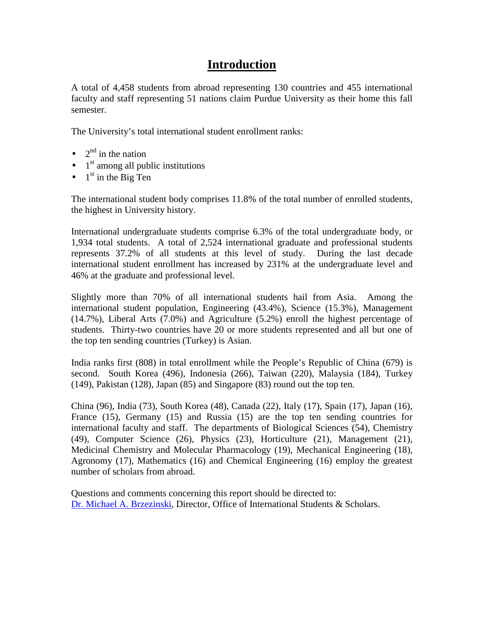### **Introduction**

A total of 4,458 students from abroad representing 130 countries and 455 international faculty and staff representing 51 nations claim Purdue University as their home this fall semester.

The University's total international student enrollment ranks:

- $2<sup>nd</sup>$  in the nation
- $\bullet$  1<sup>st</sup> among all public institutions
- $\bullet$  1<sup>st</sup> in the Big Ten

The international student body comprises 11.8% of the total number of enrolled students, the highest in University history.

International undergraduate students comprise 6.3% of the total undergraduate body, or 1,934 total students. A total of 2,524 international graduate and professional students represents 37.2% of all students at this level of study. During the last decade international student enrollment has increased by 231% at the undergraduate level and 46% at the graduate and professional level.

Slightly more than 70% of all international students hail from Asia. Among the international student population, Engineering (43.4%), Science (15.3%), Management (14.7%), Liberal Arts (7.0%) and Agriculture (5.2%) enroll the highest percentage of students. Thirty-two countries have 20 or more students represented and all but one of the top ten sending countries (Turkey) is Asian.

India ranks first (808) in total enrollment while the People's Republic of China (679) is second. South Korea (496), Indonesia (266), Taiwan (220), Malaysia (184), Turkey (149), Pakistan (128), Japan (85) and Singapore (83) round out the top ten.

China (96), India (73), South Korea (48), Canada (22), Italy (17), Spain (17), Japan (16), France (15), Germany (15) and Russia (15) are the top ten sending countries for international faculty and staff. The departments of Biological Sciences (54), Chemistry (49), Computer Science (26), Physics (23), Horticulture (21), Management (21), Medicinal Chemistry and Molecular Pharmacology (19), Mechanical Engineering (18), Agronomy (17), Mathematics (16) and Chemical Engineering (16) employ the greatest number of scholars from abroad.

Questions and comments concerning this report should be directed to: [Dr. Michael A. Brzezinski,](mailto:mab@iss.purdue.edu) Director, Office of International Students & Scholars.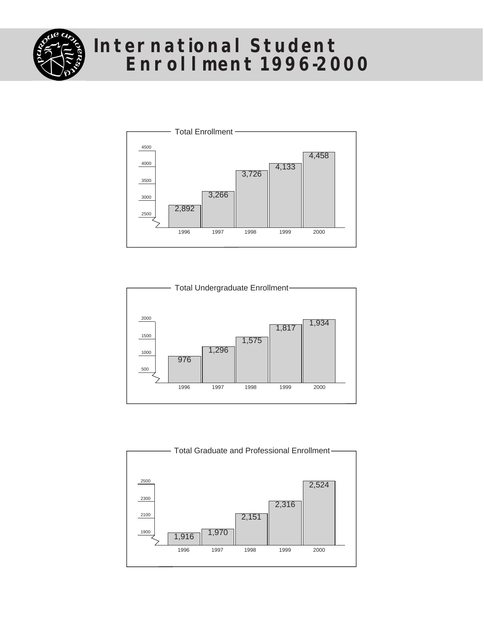

### **International Student Enrollment 1996-2000**





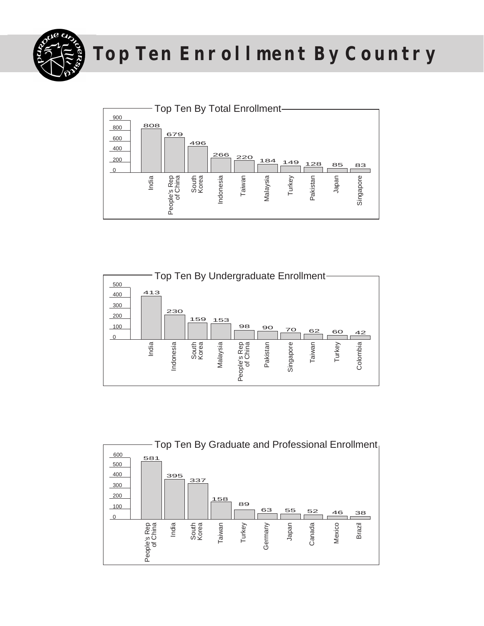

## **Top Ten Enrollment By Country**





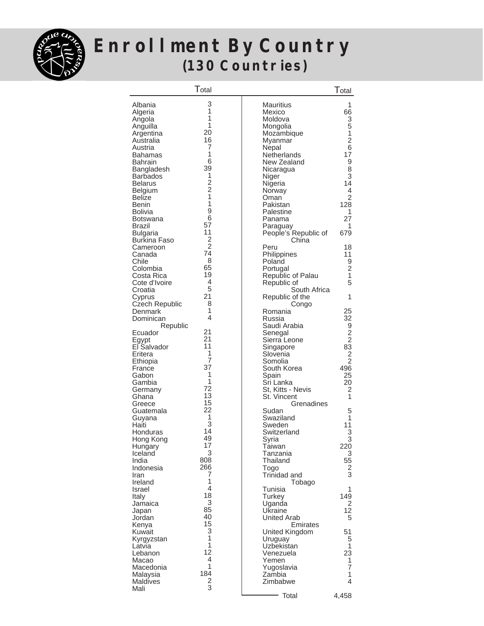

### **Enrollment By Country (130 Countries)**

|                       | Total                                      |                      | $\mathsf{T}_{\mathsf{otal}}$ |
|-----------------------|--------------------------------------------|----------------------|------------------------------|
| Albania               | 3                                          | Mauritius            | 1                            |
|                       | 1                                          | Mexico               | 66                           |
| Algeria               | $\mathbf{1}$                               |                      |                              |
| Angola                | 1                                          | Moldova              | 3<br>5                       |
| Anguilla              | 20                                         | Mongolia             |                              |
| Argentina             |                                            | Mozambique           | $\mathbf 1$                  |
| Australia             | 16<br>7                                    | Myanmar              | $\overline{2}$               |
| Austria               | $\mathbf{1}$                               | Nepal                | 6                            |
| Bahamas               |                                            | Netherlands          | 17                           |
| Bahrain               | 6                                          | New Zealand          | 9                            |
| Bangladesh            | 39                                         | Nicaragua            | 8                            |
| <b>Barbados</b>       | 1                                          | Niger                | 3                            |
| <b>Belarus</b>        | $\begin{array}{c} 2 \\ 2 \\ 1 \end{array}$ | Nigeria              | 14                           |
| Belgium               |                                            | Norway               | 4                            |
| Belize                |                                            | Oman                 | $\overline{2}$               |
| Benin                 | $\mathbf{1}$                               | Pakistan             | 128                          |
| Bolivia               | 9                                          | Palestine            | 1                            |
| Botswana              | 6                                          | Panama               | 27                           |
| Brazil                | 57                                         | Paraguay             | 1                            |
| <b>Bulgaria</b>       | 11                                         | People's Republic of | 679                          |
| Burkina Faso          | $\overline{2}$                             | China                |                              |
| Cameroon              | $\overline{2}$                             | Peru                 | 18                           |
| Canada                | 74                                         | Philippines          | 11                           |
| Chile                 | 8                                          | Poland               | 9                            |
| Colombia              | 65                                         | Portugal             | $\overline{2}$               |
| Costa Rica            | 19                                         | Republic of Palau    | 1                            |
| Cote d'Ivoire         | 4                                          | Republic of          | 5                            |
| Croatia               | 5                                          | South Africa         |                              |
| Cyprus                | 21                                         | Republic of the      | 1                            |
| <b>Czech Republic</b> | 8                                          | Congo                |                              |
| Denmark               | 1                                          | Romania              | 25                           |
| Dominican             | 4                                          | Russia               | 32                           |
| Republic              |                                            | Saudi Arabia         | 9                            |
| Ecuador               | 21                                         | Senegal              | $\overline{c}$               |
| Egypt                 | 21                                         | Sierra Leone         | $\overline{2}$               |
| El Salvador           | 11                                         | Singapore            | 83                           |
| Eritera               | 1                                          | Slovenia             | $\overline{2}$               |
| Ethiopia              | $\overline{7}$                             | Somolia              | $\overline{2}$               |
| France                | 37                                         | South Korea          | 496                          |
| Gabon                 | 1                                          | Spain                | 25                           |
| Gambia                | 1                                          | Sri Lanka            | 20                           |
| Germany               | 72                                         | St, Kitts - Nevis    | 2                            |
| Ghana                 | 13                                         | St. Vincent          | 1                            |
| Greece                | 15                                         | Grenadines           |                              |
| Guatemala             | 22                                         | Sudan                | 5                            |
| Guyana                | 1                                          | Swaziland            | 1                            |
| Haiti                 | 3                                          | Sweden               | 11                           |
| Honduras              | 14                                         | Switzerland          | 3                            |
| Hong Kong             | 49                                         | Syria                | 3                            |
| Hungary               | 17                                         | Taiwan               | 220                          |
| Iceland               | 3                                          | Tanzania             | 3                            |
| India                 | 808                                        | Thailand             | 55                           |
| Indonesia             | 266                                        | Togo                 | 2                            |
| Iran                  | 7                                          | Trinidad and         | 3                            |
| Ireland               | 1                                          | Tobago               |                              |
| Israel                | $\overline{4}$                             | Tunisia              | 1                            |
| Italy                 | 18                                         | Turkey               | 149                          |
| Jamaica               | 3                                          | Uganda               | 2                            |
| Japan                 | 85                                         | Ukraine              | 12                           |
| Jordan                | 40                                         | United Arab          | 5                            |
| Kenya                 | 15                                         | Emirates             |                              |
| Kuwait                | 3                                          | United Kingdom       | 51                           |
| Kyrgyzstan            | 1                                          | Uruguay              | 5                            |
| Latvia                | 1                                          | Uzbekistan           | 1                            |
| Lebanon               | 12                                         | Venezuela            | 23                           |
| Macao                 | 4                                          | Yemen                | 1                            |
| Macedonia             | 1                                          | Yugoslavia           | 7                            |
| Malaysia              | 184                                        | Zambia               | 1                            |
| Maldives              | 2                                          | Zimbabwe             | 4                            |
| Mali                  | 3                                          |                      |                              |
|                       |                                            | Total                | 4,458                        |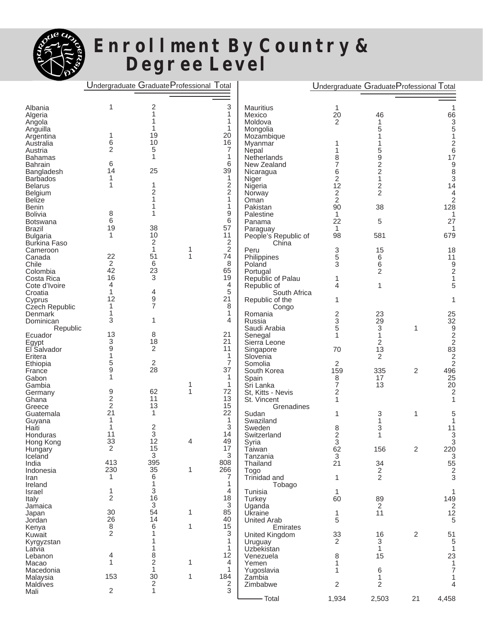

### **Enrollment By Country & Degree Level**

#### Undergraduate Graduate Professional Total

|  |  | Undergraduate GraduateProfessional Total |  |
|--|--|------------------------------------------|--|
|--|--|------------------------------------------|--|

| Albania             | 1                   | $\overline{c}$          |   | 3                | <b>Mauritius</b>       | 1                         |                         |                |                                           |
|---------------------|---------------------|-------------------------|---|------------------|------------------------|---------------------------|-------------------------|----------------|-------------------------------------------|
| Algeria             |                     | 1                       |   | 1                | Mexico                 | 20                        | 46                      |                | 66                                        |
| Angola              |                     |                         |   | 1                | Moldova                | $\overline{2}$            | 1                       |                | 3                                         |
| Anguilla            |                     |                         |   | 1                | Mongolia               |                           | 5                       |                | 5                                         |
| Argentina           | 1                   | 19                      |   | 20               | Mozambique             |                           |                         |                |                                           |
| Australia           | 6                   | 10                      |   | 16               | Myanmar                | 1                         |                         |                | $\overline{c}$                            |
| Austria             | $\overline{2}$      | 5                       |   | $\overline{7}$   | Nepal                  | 1                         | 5                       |                | 6                                         |
| <b>Bahamas</b>      |                     | 1                       |   | 1                | Netherlands            | 8                         |                         |                | 17                                        |
| <b>Bahrain</b>      | 6                   |                         |   | 6                | New Zealand            | 7                         | $\frac{9}{2}$           |                | 9                                         |
| Bangladesh          | 14                  | 25                      |   | 39               | Nicaragua              | 6                         | $\overline{\mathbf{c}}$ |                | 8                                         |
| <b>Barbados</b>     | 1                   |                         |   | 1                | Niger                  | 2                         | 1                       |                | 3                                         |
| <b>Belarus</b>      | 1                   | 1                       |   | $\boldsymbol{2}$ | Nigeria                | 12                        | 2                       |                | 14                                        |
| Belgium             |                     | 2                       |   | $\overline{c}$   | Norway                 | $\overline{c}$            | 2                       |                | 4                                         |
| <b>Belize</b>       |                     | 1                       |   | 1                | Oman                   | $\overline{2}$            |                         |                | 2                                         |
| Benin               |                     | 1                       |   | 1                | Pakistan               | 90                        | 38                      |                | 128                                       |
| <b>Bolivia</b>      | 8                   | 1                       |   | 9                | Palestine              | 1                         |                         |                |                                           |
| <b>Botswana</b>     | 6                   |                         |   | 6                | Panama                 | 22                        | 5                       |                | 27                                        |
| <b>Brazil</b>       | 19                  | 38                      |   | 57               | Paraguay               | 1                         |                         |                |                                           |
| <b>Bulgaria</b>     | 1                   | 10                      |   | 11               | People's Republic of   | 98                        | 581                     |                | 679                                       |
| <b>Burkina Faso</b> |                     | 2                       |   | $\boldsymbol{2}$ | China                  |                           |                         |                |                                           |
| Cameroon            |                     | 1                       | 1 | $\overline{c}$   | Peru                   | 3                         | 15                      |                | 18                                        |
| Canada              | 22                  | 51                      | 1 | 74               | Philippines            | 5                         | 6                       |                | 11                                        |
| Chile               | $\overline{c}$      | 6                       |   | 8                | Poland                 | 3                         | 6                       |                | 9                                         |
| Colombia            | 42                  | 23                      |   | 65               | Portugal               |                           | 2                       |                | 2                                         |
| Costa Rica          | 16                  | 3                       |   | 19               | Republic of Palau      | 1                         |                         |                |                                           |
| Cote d'Ivoire       | 4                   |                         |   | 4                | Republic of            | 4                         | 1                       |                | 5                                         |
| Croatia             | 1                   | 4                       |   | 5                | South Africa           |                           |                         |                |                                           |
| Cyprus              | 12                  | $\boldsymbol{9}$        |   | 21               | Republic of the        | 1                         |                         |                |                                           |
| Czech Republic      | 1                   | 7                       |   | 8                | Congo                  |                           |                         |                |                                           |
| Denmark             | 1                   |                         |   | 1                | Romania                | $\overline{\mathbf{c}}$   | 23                      |                | 25                                        |
| Dominican           | 3                   | 1                       |   | 4                | Russia                 | 3                         | 29                      |                | 32                                        |
| Republic            | 13                  |                         |   |                  | Saudi Arabia           | 5                         | 3                       | 1              | 9                                         |
| Ecuador             | 3                   | 8<br>18                 |   | 21<br>21         | Senegal                | 1                         | $\mathbf{1}$            |                | $\overline{c}$                            |
| Egypt               | 9                   | $\overline{c}$          |   | 11               | Sierra Leone           |                           | 2                       |                | $\overline{c}$                            |
| El Salvador         | 1                   |                         |   | 1                | Singapore              | 70                        | 13                      |                | 83                                        |
| Eritera             | 5                   | $\overline{c}$          |   | $\overline{7}$   | Slovenia               |                           | 2                       |                | $\overline{\mathbf{c}}$<br>$\overline{2}$ |
| Ethiopia<br>France  | 9                   | 28                      |   | 37               | Somolia<br>South Korea | 2<br>159                  | 335                     | 2              | 496                                       |
| Gabon               | 1                   |                         |   | 1                | Spain                  | 8                         | 17                      |                | 25                                        |
| Gambia              |                     |                         | 1 | 1                | Sri Lanka              | 7                         | 13                      |                | 20                                        |
| Germany             | 9                   | 62                      | 1 | 72               | St, Kitts - Nevis      | 2                         |                         |                | 2                                         |
| Ghana               | $\overline{c}$      | 11                      |   | 13               | St. Vincent            | 1                         |                         |                |                                           |
| Greece              | $\sqrt{2}$          | 13                      |   | 15               | Grenadines             |                           |                         |                |                                           |
| Guatemala           | 21                  | 1                       |   | 22               | Sudan                  | 1                         | 3                       | 1              | 5                                         |
| Guyana              | 1                   |                         |   | 1                | Swaziland              |                           | 1                       |                |                                           |
| Haiti               | 1                   | 2                       |   | 3                | Sweden                 | 8                         | 3                       |                | 11                                        |
| Honduras            | 11                  | 3                       |   | 14               | Switzerland            | $\overline{c}$            | 1                       |                | 3                                         |
| Hong Kong           | 33                  | 12                      | 4 | 49               | Syria                  | 3                         |                         |                | 3                                         |
| Hungary             | 2                   | 15                      |   | $17\,$           | Taiwan                 | 62                        | 156                     | $\overline{c}$ | 220                                       |
| Iceland             |                     | 3                       |   | 3                | Tanzania               | $\ensuremath{\mathsf{3}}$ |                         |                | 3                                         |
| India               | 413                 | 395                     |   | 808              | Thailand               | 21                        | 34                      |                | 55                                        |
| Indonesia           | 230                 | 35                      | 1 | 266              | Togo                   |                           | $\frac{2}{2}$           |                | $\overline{\mathbf{c}}$                   |
| Iran                | 1                   | 6                       |   | 7                | Trinidad and           | $\mathbf{1}$              |                         |                | 3                                         |
| Ireland             |                     | 1                       |   | 1                | Tobago                 |                           |                         |                |                                           |
| Israel              | 1                   | 3                       |   | 4                | Tunisia                | 1                         |                         |                | 1                                         |
| Italy               | 2                   | 16                      |   | 18               | Turkey                 | 60                        | 89                      |                | $\frac{149}{2}$                           |
| Jamaica             |                     | 3                       |   | $\sqrt{3}$       | Uganda                 |                           | $\overline{2}$          |                |                                           |
| Japan               | 30                  | 54                      | 1 | 85               | Ukraine                | $\mathbf{1}$              | 11                      |                | 12                                        |
| Jordan              | 26                  | 14                      |   | 40               | <b>United Arab</b>     | 5                         |                         |                | 5                                         |
| Kenya               | 8<br>$\overline{2}$ | 6<br>1                  | 1 | 15<br>3          | Emirates               |                           |                         |                |                                           |
| Kuwait              |                     |                         |   | 1                | United Kingdom         | 33                        | 16                      | 2              | 51                                        |
| Kyrgyzstan          |                     | 1                       |   | 1                | Uruguay                | 2                         | 3                       |                | 5                                         |
| Latvia              | 4                   | 8                       |   | 12               | Uzbekistan             |                           | $\mathbf{1}$            |                | 1                                         |
| Lebanon<br>Macao    | $\mathbf{1}$        | $\overline{c}$          | 1 | $\overline{4}$   | Venezuela<br>Yemen     | 8<br>1                    | 15                      |                | 23<br>1                                   |
| Macedonia           |                     | 1                       |   | $\mathbf{1}$     | Yugoslavia             | 1                         | 6                       |                | 7                                         |
| Malaysia            | 153                 | 30                      | 1 | 184              | Zambia                 |                           | 1                       |                |                                           |
| Maldives            |                     | $\overline{\mathbf{c}}$ |   | $\overline{c}$   | Zimbabwe               | $\overline{2}$            | 2                       |                | 4                                         |
| Mali                | $\mathbf{2}$        | $\mathbf{1}$            |   | 3                |                        |                           |                         |                |                                           |
|                     |                     |                         |   |                  | - Total                | 1,934                     | 2,503                   | 21             | 4,458                                     |
|                     |                     |                         |   |                  |                        |                           |                         |                |                                           |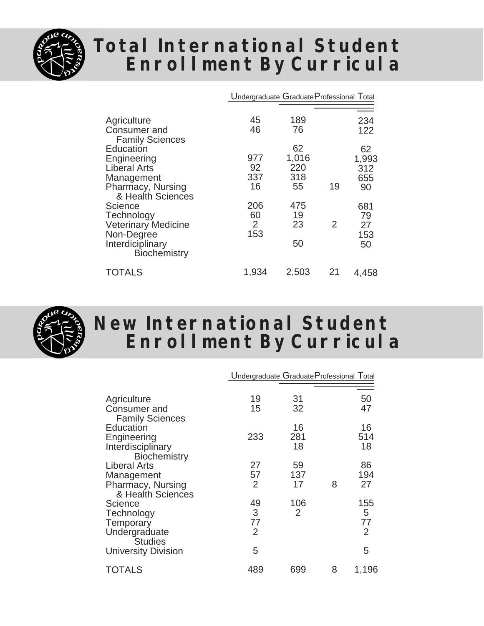

### **Total International Student Enrollment By Curricula**

|                                                                                                                                          | Undergraduate Graduate Professional Total |                                 |    |                                 |
|------------------------------------------------------------------------------------------------------------------------------------------|-------------------------------------------|---------------------------------|----|---------------------------------|
| Agriculture<br>Consumer and<br><b>Family Sciences</b>                                                                                    | 45<br>46                                  | 189<br>76                       |    | 234<br>122                      |
| Education<br>Engineering<br><b>Liberal Arts</b><br>Management<br>Pharmacy, Nursing                                                       | 977<br>92<br>337<br>16                    | 62<br>1,016<br>220<br>318<br>55 | 19 | 62<br>1,993<br>312<br>655<br>90 |
| & Health Sciences<br><b>Science</b><br>Technology<br><b>Veterinary Medicine</b><br>Non-Degree<br>Interdiciplinary<br><b>Biochemistry</b> | 206<br>60<br>2<br>153                     | 475<br>19<br>23<br>50           | 2  | 681<br>79<br>27<br>153<br>50    |
| TOTALS                                                                                                                                   | 1,934                                     | 2,503                           | 21 | 4,458                           |



### **New International Student Enrollment By Curricula**

|                                                                                             | Undergraduate Graduate Professional Total |                 |   |                     |
|---------------------------------------------------------------------------------------------|-------------------------------------------|-----------------|---|---------------------|
| Agriculture<br>Consumer and                                                                 | 19<br>15                                  | 31<br>32        |   | 50<br>47            |
| <b>Family Sciences</b><br>Education<br>Engineering<br>Interdisciplinary                     | 233                                       | 16<br>281<br>18 |   | 16<br>514<br>18     |
| <b>Biochemistry</b><br>Liberal Arts<br>Management<br>Pharmacy, Nursing<br>& Health Sciences | 27<br>57<br>2                             | 59<br>137<br>17 | 8 | 86<br>194<br>27     |
| Science<br>Technology<br>Temporary<br>Undergraduate                                         | 49<br>3<br>77<br>2                        | 106<br>2        |   | 155<br>5<br>77<br>2 |
| <b>Studies</b><br><b>University Division</b>                                                | 5                                         |                 |   | 5                   |
| <b>TOTALS</b>                                                                               | 489                                       | 699             | 8 | 1,196               |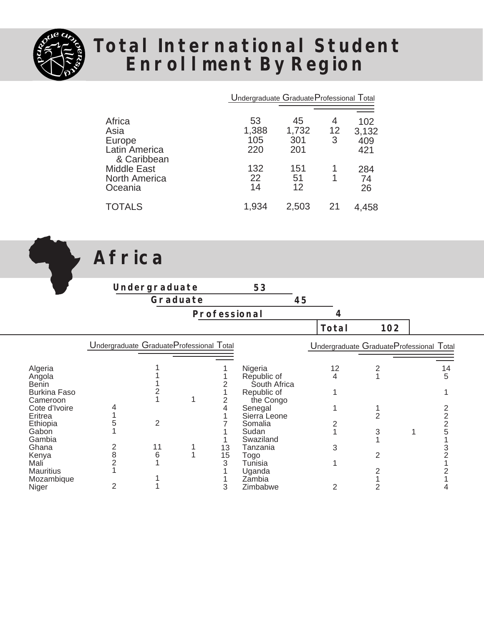

 $\mathbf{r}$ 

### **Total International Student Enrollment By Region**

|                                                       | Undergraduate Graduate Professional Total |                     |         |                     |
|-------------------------------------------------------|-------------------------------------------|---------------------|---------|---------------------|
| Africa                                                | 53                                        | 45                  | 4       | 102                 |
| Asia<br>Europe<br>Latin America<br>& Caribbean        | 1,388<br>105<br>220                       | 1,732<br>301<br>201 | 12<br>3 | 3,132<br>409<br>421 |
| <b>Middle East</b><br><b>North America</b><br>Oceania | 132<br>22<br>14                           | 151<br>51<br>12     |         | 284<br>74<br>26     |
| <b>TOTALS</b>                                         | 1,934                                     | 2,503               | 21      | 4.458               |

**Africa**

|                                               |                                          | Undergraduate |          |              | 53                                         |                                          |                |    |
|-----------------------------------------------|------------------------------------------|---------------|----------|--------------|--------------------------------------------|------------------------------------------|----------------|----|
|                                               |                                          |               | Graduate |              | 45                                         |                                          |                |    |
|                                               |                                          |               |          | Professional |                                            | 4                                        |                |    |
|                                               |                                          |               |          |              |                                            | Total                                    | 102            |    |
|                                               | Undergraduate GraduateProfessional Total |               |          |              |                                            | Undergraduate GraduateProfessional Total |                |    |
| Algeria                                       |                                          |               |          |              | Nigeria                                    | 12                                       |                | 14 |
| Angola<br><b>Benin</b><br><b>Burkina Faso</b> |                                          |               |          |              | Republic of<br>South Africa<br>Republic of | 4                                        |                | 5  |
| Cameroon<br>Cote d'Ivoire                     |                                          |               |          |              | the Congo<br>Senegal                       |                                          |                |    |
| Eritrea<br>Ethiopia                           |                                          | 2             |          |              | Sierra Leone<br>Somalia                    |                                          | $\overline{2}$ |    |
| Gabon<br>Gambia<br>Ghana                      |                                          | 11            |          | 13           | Sudan<br>Swaziland<br>Tanzania             | 3                                        | 3              |    |
| Kenya<br>Mali                                 | 8                                        | 6             |          | 15<br>3      | Togo<br>Tunisia                            |                                          | 2              |    |
| <b>Mauritius</b><br>Mozambique                |                                          |               |          |              | Uganda<br>Zambia                           |                                          |                |    |
| Niger                                         |                                          |               |          | 3            | Zimbabwe                                   | 2                                        |                |    |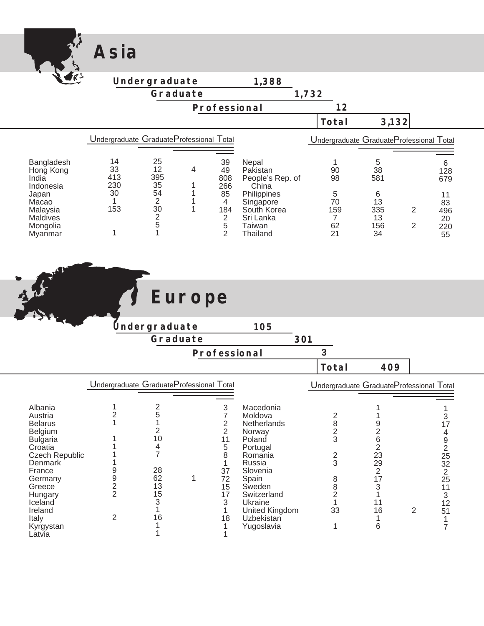|                                                           | Asia                                     |                                            |                        |                                                                             |                                                                |       |                                        |                                          |                     |                              |  |
|-----------------------------------------------------------|------------------------------------------|--------------------------------------------|------------------------|-----------------------------------------------------------------------------|----------------------------------------------------------------|-------|----------------------------------------|------------------------------------------|---------------------|------------------------------|--|
|                                                           |                                          | Undergraduate                              |                        |                                                                             | 1,388                                                          |       |                                        |                                          |                     |                              |  |
|                                                           |                                          |                                            | Graduate               |                                                                             |                                                                | 1,732 |                                        |                                          |                     |                              |  |
|                                                           |                                          |                                            |                        | Professional                                                                |                                                                |       | 12                                     |                                          |                     |                              |  |
|                                                           |                                          |                                            |                        |                                                                             |                                                                |       | Total                                  | 3,132                                    |                     |                              |  |
|                                                           | Undergraduate GraduateProfessional Total |                                            |                        |                                                                             |                                                                |       |                                        | Undergraduate GraduateProfessional Total |                     |                              |  |
| Bangladesh<br>Hong Kong<br>India<br>Indonesia             | 14<br>33<br>413<br>230                   | 25<br>12<br>395<br>35                      | 4<br>1                 | 39<br>49<br>808<br>266                                                      | Nepal<br>Pakistan<br>People's Rep. of<br>China                 |       | 1<br>90<br>98                          | $\sqrt{5}$<br>38<br>581                  |                     | $\,6\,$<br>128<br>679        |  |
| Japan<br>Macao<br>Malaysia<br><b>Maldives</b><br>Mongolia | 30<br>$\mathbf{1}$<br>153                | 54<br>$\sqrt{2}$<br>30<br>$\mathbf 2$<br>5 | 1<br>$\mathbf{1}$<br>1 | 85<br>$\overline{4}$<br>184<br>$\begin{array}{c}\n2 \\ 5 \\ 2\n\end{array}$ | Philippines<br>Singapore<br>South Korea<br>Sri Lanka<br>Taiwan |       | 5<br>70<br>159<br>$\overline{7}$<br>62 | 6<br>13<br>335<br>13<br>156              | 2<br>$\overline{2}$ | 11<br>83<br>496<br>20<br>220 |  |
| Myanmar                                                   | 1                                        | $\mathbf{1}$                               |                        |                                                                             | Thailand                                                       |       | 21                                     | 34                                       |                     | 55                           |  |
|                                                           |                                          |                                            |                        |                                                                             |                                                                |       |                                        |                                          |                     |                              |  |
|                                                           |                                          |                                            | Europe                 |                                                                             |                                                                |       |                                        |                                          |                     |                              |  |
|                                                           |                                          |                                            |                        |                                                                             |                                                                |       |                                        |                                          |                     |                              |  |
|                                                           |                                          | Undergraduate                              | Graduate               |                                                                             | 105                                                            | 301   |                                        |                                          |                     |                              |  |
|                                                           |                                          |                                            |                        | Professional                                                                |                                                                |       | $\overline{3}$                         |                                          |                     |                              |  |
|                                                           |                                          |                                            |                        |                                                                             |                                                                |       | Total                                  | 409                                      |                     |                              |  |
|                                                           | Undergraduate GraduateProfessional Total |                                            |                        |                                                                             |                                                                |       |                                        | Undergraduate GraduateProfessional Total |                     |                              |  |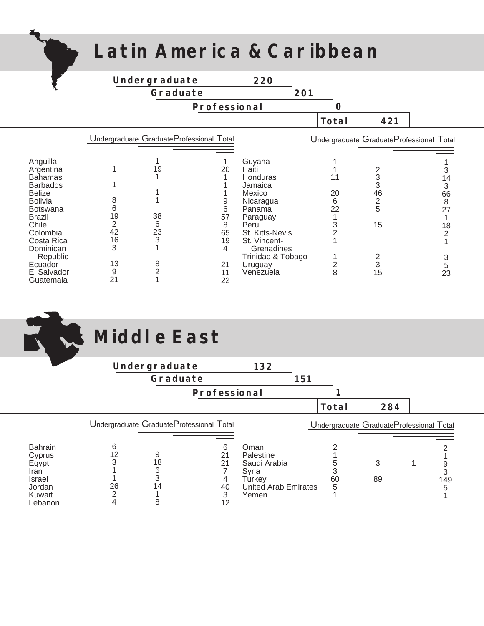## **Latin America & Caribbean**

|--|

|                                  |                      | Undergraduate  |                                          | 220                     |                     |                                          |                |
|----------------------------------|----------------------|----------------|------------------------------------------|-------------------------|---------------------|------------------------------------------|----------------|
|                                  |                      | Graduate       |                                          |                         | 201                 |                                          |                |
|                                  |                      |                | Professional                             |                         |                     |                                          |                |
|                                  |                      |                |                                          |                         | Total               | 421                                      |                |
|                                  |                      |                | Undergraduate GraduateProfessional Total |                         |                     | Undergraduate GraduateProfessional Total |                |
|                                  |                      |                |                                          |                         |                     |                                          |                |
| Anguilla<br>Argentina            |                      | 19             | 20                                       | Guyana<br>Haiti         |                     |                                          |                |
| <b>Bahamas</b>                   |                      |                |                                          | Honduras                | 11                  |                                          | 14             |
| <b>Barbados</b><br><b>Belize</b> |                      |                |                                          | Jamaica<br>Mexico       | 20                  | 3<br>46                                  | 3<br>66        |
| <b>Bolivia</b>                   | 8                    |                |                                          | Nicaragua               | 6                   | $\mathbf 2$                              | $\,8\,$        |
| <b>Botswana</b>                  | 6                    |                | 6                                        | Panama                  | 22                  | 5                                        | 27             |
| <b>Brazil</b>                    | 19<br>$\overline{2}$ | 38             | 57                                       | Paraguay                |                     |                                          |                |
| Chile<br>Colombia                | 42                   | 6<br>23        | 8<br>65                                  | Peru<br>St. Kitts-Nevis | 3<br>$\overline{2}$ | 15                                       | 18             |
| Costa Rica                       | 16                   | 3              | 19                                       | St. Vincent-            |                     |                                          | $\overline{2}$ |
| Dominican                        | 3                    |                | 4                                        | Grenadines              |                     |                                          |                |
| Republic                         |                      |                |                                          | Trinidad & Tobago       |                     |                                          | 3              |
| Ecuador                          | 13                   | 8              | 21                                       | Uruguay                 | $\frac{2}{8}$       | 3                                        | 5              |
| El Salvador<br>Guatemala         | 9<br>21              | $\overline{2}$ | 11<br>22                                 | Venezuela               |                     | 15                                       | 23             |

|                                                                                           | Middle East                                                                                              |                                     |                                                                                              |     |                   |                                          |                    |  |
|-------------------------------------------------------------------------------------------|----------------------------------------------------------------------------------------------------------|-------------------------------------|----------------------------------------------------------------------------------------------|-----|-------------------|------------------------------------------|--------------------|--|
|                                                                                           | Undergraduate                                                                                            |                                     | 132                                                                                          |     |                   |                                          |                    |  |
|                                                                                           |                                                                                                          | Graduate                            |                                                                                              | 151 |                   |                                          |                    |  |
|                                                                                           |                                                                                                          | Professional                        |                                                                                              |     |                   |                                          |                    |  |
|                                                                                           |                                                                                                          |                                     |                                                                                              |     | Total             | 284                                      |                    |  |
|                                                                                           | Undergraduate GraduateProfessional Total                                                                 |                                     |                                                                                              |     |                   | Undergraduate GraduateProfessional Total |                    |  |
| <b>Bahrain</b><br>Cyprus<br>Egypt<br>Iran<br><b>Israel</b><br>Jordan<br>Kuwait<br>Lebanon | 6<br>12<br>9<br>3<br>$\begin{array}{c} 18 \\ 6 \\ 3 \end{array}$<br>26<br>14<br>$\overline{2}$<br>4<br>8 | 6<br>21<br>21<br>4<br>40<br>3<br>12 | Oman<br>Palestine<br>Saudi Arabia<br>Syria<br><b>Turkey</b><br>United Arab Emirates<br>Yemen |     | 5<br>3<br>60<br>5 | 3<br>89                                  | 9<br>3<br>149<br>5 |  |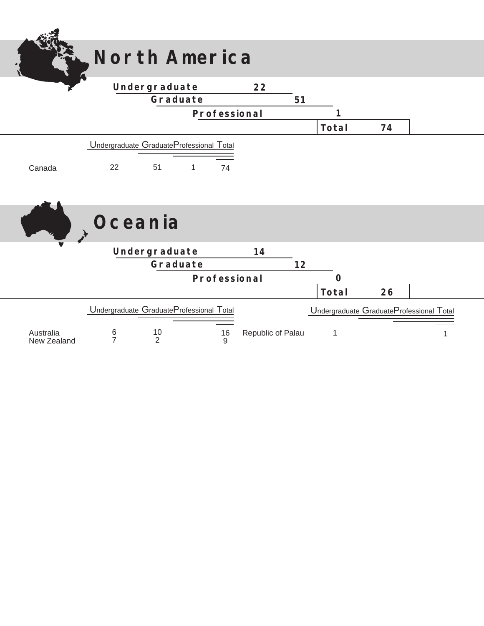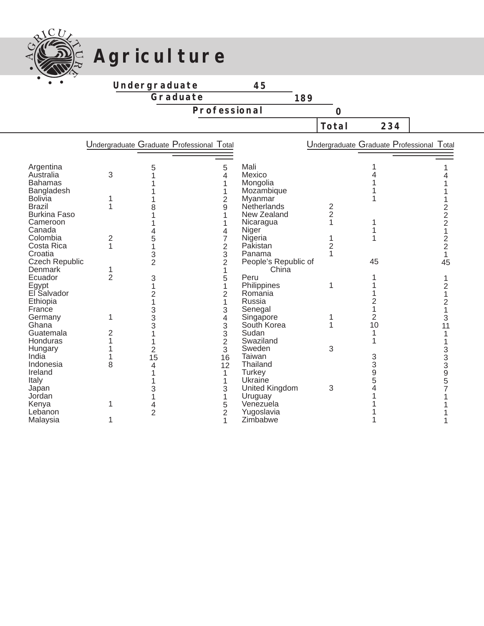

## Agriculture

**Undergraduate**

**Graduate**

**Professional**

|                       |                |                      |                                           |                      | Total          | 234                                       |                |
|-----------------------|----------------|----------------------|-------------------------------------------|----------------------|----------------|-------------------------------------------|----------------|
|                       |                |                      | Undergraduate Graduate Professional Total |                      |                | Undergraduate Graduate Professional Total |                |
| Argentina             |                | 5                    | 5                                         | Mali                 |                |                                           |                |
| Australia             | 3              |                      | $\overline{4}$                            | Mexico               |                |                                           |                |
| <b>Bahamas</b>        |                |                      | 1                                         | Mongolia             |                |                                           |                |
| Bangladesh            |                |                      | 1                                         | Mozambique           |                |                                           |                |
| <b>Bolivia</b>        |                |                      | $\overline{2}$                            | Myanmar              |                |                                           |                |
| <b>Brazil</b>         | 1              | 8                    | 9                                         | Netherlands          | $\frac{2}{2}$  |                                           | $\overline{c}$ |
| <b>Burkina Faso</b>   |                |                      |                                           | New Zealand          |                |                                           | $\overline{c}$ |
| Cameroon              |                |                      |                                           | Nicaragua            | $\overline{1}$ |                                           | $\overline{c}$ |
| Canada                |                |                      | 4                                         | Niger                |                |                                           | 1              |
| Colombia              | $\overline{2}$ | 5                    | 7                                         | Nigeria              |                |                                           | $\frac{2}{2}$  |
| Costa Rica            | 1              | 1                    | $\overline{2}$                            | Pakistan             | $\overline{2}$ |                                           |                |
| Croatia               |                | 3                    | 3                                         | Panama               | 1              |                                           | $\mathbf{1}$   |
| <b>Czech Republic</b> |                | $\overline{2}$       | $\overline{2}$                            | People's Republic of |                | 45                                        | 45             |
| Denmark               | 1              |                      | 1                                         | China                |                |                                           |                |
| Ecuador               | $\overline{2}$ | 3                    | 5                                         | Peru                 |                |                                           |                |
| Egypt                 |                | 1                    | 1                                         | Philippines          | 1              |                                           | $\overline{2}$ |
| El Salvador           |                | $\overline{c}$       | $\overline{2}$                            | Romania              |                |                                           |                |
| Ethiopia              |                |                      | 1                                         | Russia               |                | 2                                         | 2              |
| France                |                | $\frac{3}{3}$        | 3                                         | Senegal              |                |                                           |                |
| Germany               | 1              |                      | 4                                         | Singapore            | 1              | $\overline{2}$                            | 3              |
| Ghana<br>Guatemala    |                | 3                    | 3                                         | South Korea          |                | 10                                        | 11             |
|                       | 2<br>1         |                      | 3                                         | Sudan<br>Swaziland   |                |                                           |                |
| Honduras              |                |                      | $\overline{2}$                            | Sweden               | 3              |                                           |                |
| Hungary<br>India      |                | $\overline{2}$<br>15 | 3<br>16                                   | Taiwan               |                | 3                                         |                |
| Indonesia             | 8              | 4                    | 12                                        | Thailand             |                | 3                                         |                |
| Ireland               |                |                      | 1                                         | <b>Turkey</b>        |                | 9                                         | 33395          |
| Italy                 |                |                      | 1                                         | Ukraine              |                | 5                                         |                |
| Japan                 |                | 3                    | 3                                         | United Kingdom       | 3              | 4                                         |                |
| Jordan                |                |                      | 1                                         | Uruguay              |                |                                           |                |
| Kenya                 | 1              | 4                    | 5                                         | Venezuela            |                |                                           |                |
| Lebanon               |                | $\overline{2}$       | $\overline{2}$                            | Yugoslavia           |                |                                           |                |
| Malaysia              | 1              |                      | 1                                         | Zimbabwe             |                |                                           |                |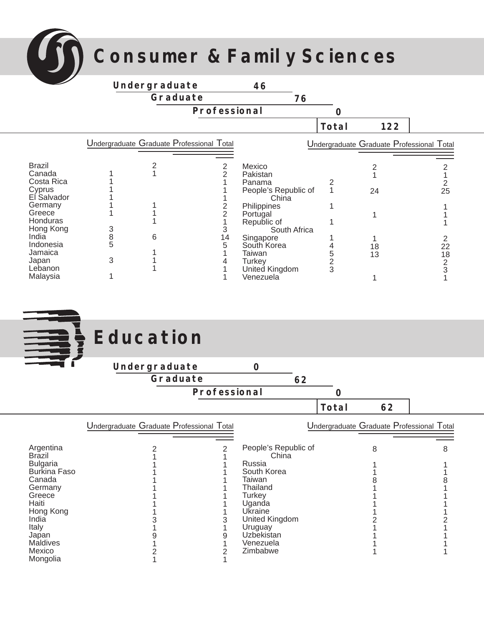**Consumer & Family Sciences**

|                                       |             | Undergraduate                             |              | 46                                       |                    |                                           |         |
|---------------------------------------|-------------|-------------------------------------------|--------------|------------------------------------------|--------------------|-------------------------------------------|---------|
|                                       |             | Graduate                                  |              | 76                                       |                    |                                           |         |
|                                       |             |                                           | Professional |                                          | 0                  |                                           |         |
|                                       |             |                                           |              |                                          | Total              | 122                                       |         |
|                                       |             | Undergraduate Graduate Professional Total |              |                                          |                    | Undergraduate Graduate Professional Total |         |
| <b>Brazil</b><br>Canada<br>Costa Rica |             |                                           |              | Mexico<br>Pakistan<br>Panama             |                    |                                           |         |
| Cyprus<br>El Salvador                 |             |                                           |              | People's Republic of<br>China            |                    | 24                                        | 25      |
| Germany<br>Greece<br>Honduras         |             |                                           |              | Philippines<br>Portugal<br>Republic of   |                    |                                           |         |
| Hong Kong<br>India<br>Indonesia       | 3<br>8<br>5 | 6                                         | 14           | South Africa<br>Singapore<br>South Korea |                    | 18                                        | 22      |
| Jamaica<br>Japan<br>Lebanon           | 3           |                                           |              | Taiwan<br><b>Turkey</b>                  | 5<br>$\frac{2}{3}$ | 13                                        | 18<br>2 |
| Malaysia                              |             |                                           |              | United Kingdom<br>Venezuela              |                    |                                           | 3       |

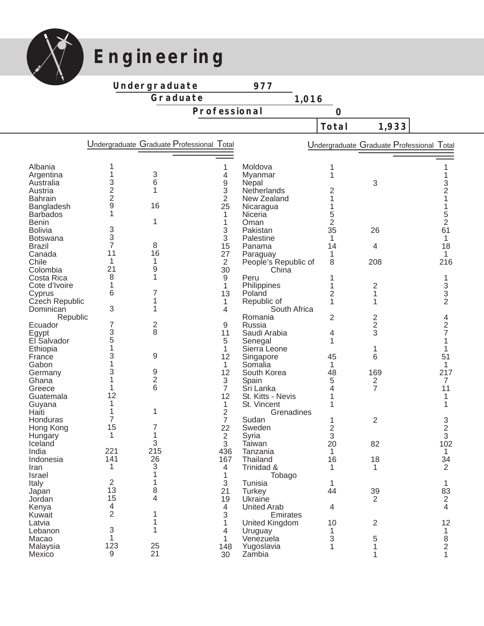

## **Engineering**

**Undergraduate**

**Graduate**

**1,016**

**Professional**

**Total 1,933**

|                  |                                              |                | Undergraduate Graduate Professional Total |                               |                | Undergraduate Graduate Professional Total |                |
|------------------|----------------------------------------------|----------------|-------------------------------------------|-------------------------------|----------------|-------------------------------------------|----------------|
|                  |                                              |                |                                           |                               |                |                                           |                |
| Albania          |                                              |                |                                           | Moldova                       | 1              |                                           |                |
| Argentina        | 1                                            | 3              | 4                                         | Myanmar                       | 1              |                                           |                |
| Australia        | 3                                            | 6              | 9                                         | Nepal                         |                | 3                                         | 3              |
| Austria          | $\begin{array}{c}\n2 \\ 2 \\ 9\n\end{array}$ | 1              | 3                                         | Netherlands                   | 2              |                                           | $\overline{2}$ |
| <b>Bahrain</b>   |                                              |                | $\overline{2}$                            | New Zealand                   | 1              |                                           |                |
| Bangladesh       |                                              | 16             | 25                                        | Nicaragua                     |                |                                           |                |
| <b>Barbados</b>  | 1                                            |                | 1                                         | Niceria                       | 5              |                                           | 5              |
| <b>Benin</b>     | 3                                            | 1              | 1                                         | Oman                          | $\overline{2}$ |                                           | $\overline{2}$ |
| <b>Bolivia</b>   | 3                                            |                | 3                                         | Pakistan                      | 35             | 26                                        | 61             |
| <b>Botswana</b>  | 7                                            | 8              | 3                                         | Palestine                     | 1              |                                           | 1              |
| <b>Brazil</b>    | 11                                           | 16             | 15                                        | Panama                        | 14             | 4                                         | 18             |
| Canada<br>Chile  | 1                                            | 1              | 27<br>$\overline{2}$                      | Paraguay                      | 1<br>8         | 208                                       | 1<br>216       |
| Colombia         | 21                                           | 9              | 30                                        | People's Republic of<br>China |                |                                           |                |
| Costa Rica       | 8                                            | 1              | 9                                         | Peru                          | 1              |                                           |                |
| Cote d'Ivoire    | 1                                            |                | 1                                         | Philippines                   | 1              | $\overline{2}$                            | 1<br>3         |
| Cyprus           | 6                                            | 7              | 13                                        | Poland                        | $\overline{c}$ | 1                                         | 3              |
| Czech Republic   |                                              | 1              | 1                                         | Republic of                   | 1              | 1                                         | $\overline{2}$ |
| Dominican        | 3                                            | 1              | 4                                         | South Africa                  |                |                                           |                |
| Republic         |                                              |                |                                           | Romania                       | $\overline{2}$ | 2                                         | 4              |
| Ecuador          | 7                                            | 2              | 9                                         | Russia                        |                | $\overline{c}$                            | $\overline{c}$ |
| Egypt            | 3                                            | 8              | 11                                        | Saudi Arabia                  | 4              | 3                                         | 7              |
| El Salvador      | 5                                            |                | 5                                         | Senegal                       | 1              |                                           |                |
| Ethiopia         | 1                                            |                | $\mathbf{1}$                              | Sierra Leone                  |                | 1                                         |                |
| France           | 3                                            | 9              | 12                                        | Singapore                     | 45             | 6                                         | 51             |
| Gabon            |                                              |                | $\mathbf{1}$                              | Somalia                       | 1              |                                           | $\mathbf{1}$   |
| Germany          | 3                                            | 9              | 12                                        | South Korea                   | 48             | 169                                       | 217            |
| Ghana            |                                              | $\overline{2}$ | 3                                         | Spain                         | 5              | $\overline{c}$                            | 7              |
| Greece           |                                              | 6              | $\overline{7}$                            | Sri Lanka                     | 4              | $\overline{7}$                            | 11             |
| Guatemala        | 12                                           |                | 12                                        | St. Kitts - Nevis             |                |                                           |                |
| Guyana           | 1                                            |                | $\mathbf{1}$                              | St. Vincent                   | 1              |                                           |                |
| Haiti            | 1                                            | 1              | 2                                         | Grenadines                    |                |                                           |                |
| Honduras         | 7                                            |                | $\overline{7}$                            | Sudan                         | 1              | 2                                         | 3<br>2         |
| Hong Kong        | 15                                           |                | 22                                        | Sweden                        | 2              |                                           |                |
| Hungary          | 1                                            | 1              | $\overline{2}$                            | Syria                         | 3              |                                           | 3              |
| Iceland          |                                              | 3              | 3                                         | Taiwan                        | 20             | 82                                        | 102            |
| India            | 221                                          | 215            | 436                                       | Tanzania                      | 1              |                                           | 1              |
| Indonesia        | 141                                          | 26             | 167                                       | Thailand                      | 16             | 18                                        | 34             |
| Iran             | 1                                            | 3              | 4                                         | Trinidad &                    | 1              | 1                                         | $\overline{2}$ |
| <b>Israel</b>    |                                              |                | 1                                         | Tobago                        |                |                                           |                |
| Italy            | $\overline{2}$                               |                | 3                                         | Tunisia                       | 1              |                                           |                |
| Japan            | 13                                           | 8              | 21                                        | Turkey                        | 44             | 39                                        | 83             |
| Jordan           | 15                                           | 4              | 19                                        | Ukraine                       |                | $\overline{2}$                            | $\overline{2}$ |
| Kenya            | 4<br>$\overline{2}$                          |                | $\overline{4}$                            | <b>United Arab</b>            | 4              |                                           | 4              |
| Kuwait           |                                              |                | 3                                         | Emirates                      |                |                                           |                |
| Latvia           | 3                                            | 1              | 1                                         | United Kingdom                | 10<br>1        | $\overline{2}$                            | 12             |
| Lebanon<br>Macao | 1                                            |                | 4                                         | Uruguay<br>Venezuela          |                |                                           | 1              |
| Malaysia         | 123                                          | 25             | 1<br>148                                  |                               | 3              | 5<br>1                                    | $\frac{8}{2}$  |
| Mexico           | 9                                            | 21             | 30                                        | Yugoslavia<br>Zambia          |                | 1                                         | 1              |
|                  |                                              |                |                                           |                               |                |                                           |                |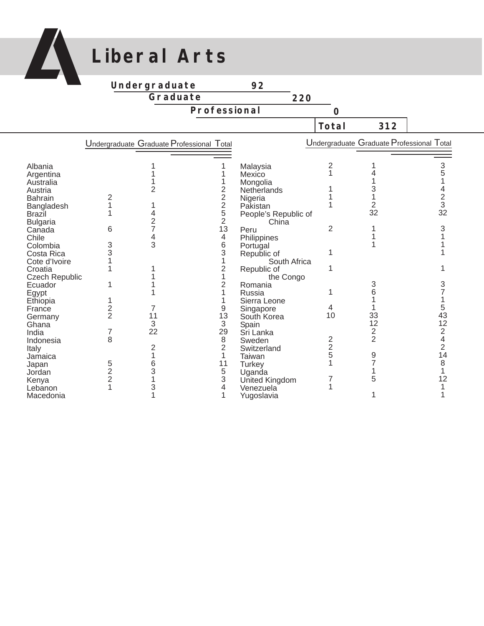

## **Liberal Arts**

#### **Undergraduate Graduate**

**Professional**

|                        |                |                                           |                |                               | Total         | 312                                       |                |
|------------------------|----------------|-------------------------------------------|----------------|-------------------------------|---------------|-------------------------------------------|----------------|
|                        |                | Undergraduate Graduate Professional Total |                |                               |               | Undergraduate Graduate Professional Total |                |
|                        |                |                                           |                |                               |               |                                           |                |
| Albania                |                |                                           |                |                               | 2             |                                           | 3              |
|                        |                |                                           |                | Malaysia<br>Mexico            |               |                                           |                |
| Argentina<br>Australia |                |                                           |                |                               |               |                                           |                |
| Austria                |                |                                           |                | Mongolia<br>Netherlands       |               |                                           |                |
| <b>Bahrain</b>         |                |                                           |                |                               |               |                                           |                |
|                        | 1              |                                           | 2<br>2<br>5    | Nigeria<br>Pakistan           |               |                                           | 3              |
| Bangladesh<br>Brazil   |                |                                           |                |                               |               | 32                                        | 32             |
|                        |                |                                           | 2              | People's Republic of<br>China |               |                                           |                |
| <b>Bulgaria</b>        | 6              |                                           | 13             | Peru                          | 2             |                                           |                |
| Canada<br>Chile        |                |                                           | 4              |                               |               |                                           |                |
|                        |                | 3                                         |                | Philippines                   |               |                                           |                |
| Colombia               | 3<br>3         |                                           | 6<br>3         | Portugal                      |               |                                           |                |
| Costa Rica             |                |                                           |                | Republic of                   |               |                                           |                |
| Cote d'Ivoire          |                |                                           |                | South Africa                  |               |                                           |                |
| Croatia                |                |                                           | 2              | Republic of                   |               |                                           |                |
| Czech Republic         |                |                                           |                | the Congo                     |               | 3                                         |                |
| Ecuador                |                |                                           |                | Romania                       |               |                                           |                |
| Egypt                  |                |                                           |                | Russia                        |               |                                           |                |
| Ethiopia               |                |                                           |                | Sierra Leone                  |               |                                           |                |
| France                 | $\frac{2}{2}$  |                                           |                | Singapore                     | 4<br>10       |                                           | 5<br>43        |
| Germany                |                | 11                                        | 13             | South Korea                   |               | 33<br>12                                  | 12             |
| Ghana                  |                | 3                                         | 3              | Spain                         |               |                                           |                |
| India                  | 7              | 22                                        | 29             | Sri Lanka                     |               | $\overline{c}$<br>$\overline{2}$          | 2              |
| Indonesia              | 8              |                                           | 8              | Sweden                        | $\frac{2}{2}$ |                                           |                |
| Italy                  |                |                                           | $\overline{c}$ | Switzerland                   |               |                                           | $\overline{2}$ |
| Jamaica                |                |                                           |                | Taiwan                        | 5             | 9                                         | 14             |
| Japan                  | 5              | 6                                         | 11             | <b>Turkey</b>                 |               |                                           | 8              |
| Jordan                 | $\overline{2}$ | 3                                         | 5              | Uganda                        |               |                                           |                |
| Kenya                  | $\overline{2}$ |                                           |                | United Kingdom                |               | 5                                         | 12             |
| Lebanon                | 1              |                                           |                | Venezuela                     |               |                                           |                |
| Macedonia              |                |                                           |                | Yugoslavia                    |               |                                           |                |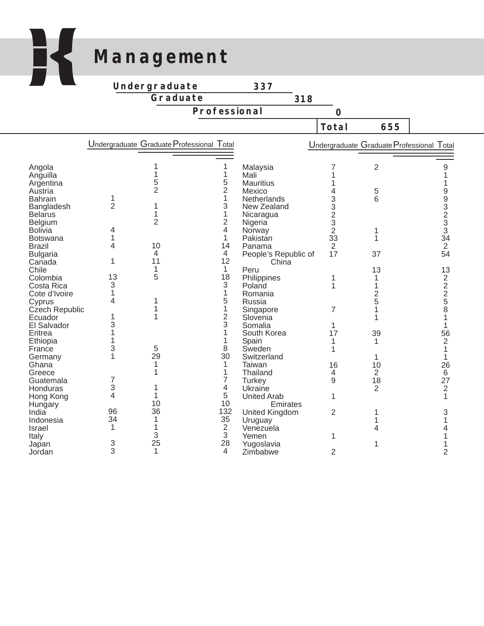## **Management**

K

**Undergraduate**

**Graduate**

**Professional**

|                                                                                                                                                                                                                                                                                                                             |                                                                             |                                                                                 |                                                                                                                  |                                                                                                                                                                                                                                                                                         | Total                                                                                  | 655                                                                                        |                                                                                                                                                                                           |
|-----------------------------------------------------------------------------------------------------------------------------------------------------------------------------------------------------------------------------------------------------------------------------------------------------------------------------|-----------------------------------------------------------------------------|---------------------------------------------------------------------------------|------------------------------------------------------------------------------------------------------------------|-----------------------------------------------------------------------------------------------------------------------------------------------------------------------------------------------------------------------------------------------------------------------------------------|----------------------------------------------------------------------------------------|--------------------------------------------------------------------------------------------|-------------------------------------------------------------------------------------------------------------------------------------------------------------------------------------------|
|                                                                                                                                                                                                                                                                                                                             |                                                                             | Undergraduate Graduate Professional Total                                       |                                                                                                                  |                                                                                                                                                                                                                                                                                         |                                                                                        | Undergraduate Graduate Professional Total                                                  |                                                                                                                                                                                           |
| Angola<br>Anguilla<br>Argentina<br>Austria<br><b>Bahrain</b><br>Bangladesh<br><b>Belarus</b><br>Belgium<br><b>Bolivia</b><br><b>Botswana</b><br><b>Brazil</b><br><b>Bulgaria</b><br>Canada<br>Chile<br>Colombia<br>Costa Rica<br>Cote d'Ivoire<br>Cyprus<br>Czech Republic<br>Ecuador<br>El Salvador<br>Eritrea<br>Ethiopia | 1<br>$\overline{2}$<br>4<br>1<br>4<br>1<br>13<br>3<br>1<br>4<br>1<br>3<br>1 | 1<br>5<br>$\overline{2}$<br>1<br>$\overline{2}$<br>10<br>4<br>11<br>1<br>5<br>1 | 5<br>$\overline{2}$<br>1<br>3<br>1<br>2<br>4<br>1<br>14<br>4<br>12<br>1<br>18<br>3<br>1<br>5<br>1<br>2<br>3<br>1 | Malaysia<br>Mali<br><b>Mauritius</b><br>Mexico<br>Netherlands<br>New Zealand<br>Nicaragua<br>Nigeria<br>Norway<br>Pakistan<br>Panama<br>People's Republic of<br>China<br>Peru<br>Philippines<br>Poland<br>Romania<br>Russia<br>Singapore<br>Slovenia<br>Somalia<br>South Korea<br>Spain | 7<br>1<br>1<br>4<br>33232<br>33<br>$\overline{2}$<br>17<br>1<br>1<br>7<br>1<br>17<br>1 | $\overline{2}$<br>5<br>6<br>1<br>1<br>37<br>13<br>1<br>1<br>$\overline{2}$<br>5<br>39<br>1 | 9<br>9<br>9<br>3<br>$\frac{2}{3}$<br>3<br>34<br>$\overline{2}$<br>54<br>13<br>$\overline{\mathbf{c}}$<br>$\overline{2}$<br>$\overline{\mathbf{c}}$<br>5<br>8<br>1<br>56<br>$\overline{2}$ |
| France<br>Germany<br>Ghana<br>Greece<br>Guatemala<br>Honduras<br>Hong Kong<br>Hungary<br>India<br>Indonesia<br><b>Israel</b><br>Italy<br>Japan<br>Jordan                                                                                                                                                                    | 3<br>7<br>3<br>4<br>96<br>34<br>1<br>3<br>3                                 | 5<br>29<br>1<br>1<br>10<br>36<br>1<br>1<br>3<br>25<br>$\mathbf{1}$              | 8<br>30<br>1<br>1<br>7<br>4<br>5<br>10<br>132<br>35<br>$\overline{2}$<br>3<br>28<br>4                            | Sweden<br>Switzerland<br>Taiwan<br>Thailand<br><b>Turkey</b><br>Ukraine<br><b>United Arab</b><br>Emirates<br>United Kingdom<br>Uruguay<br>Venezuela<br>Yemen<br>Yugoslavia<br>Zimbabwe                                                                                                  | 1<br>16<br>4<br>9<br>1<br>$\overline{2}$<br>1<br>2                                     | 1<br>10<br>$\overline{2}$<br>18<br>$\overline{2}$<br>1                                     | 1<br>1<br>26<br>6<br>27<br>$\overline{2}$<br>1<br>3<br>$\overline{2}$                                                                                                                     |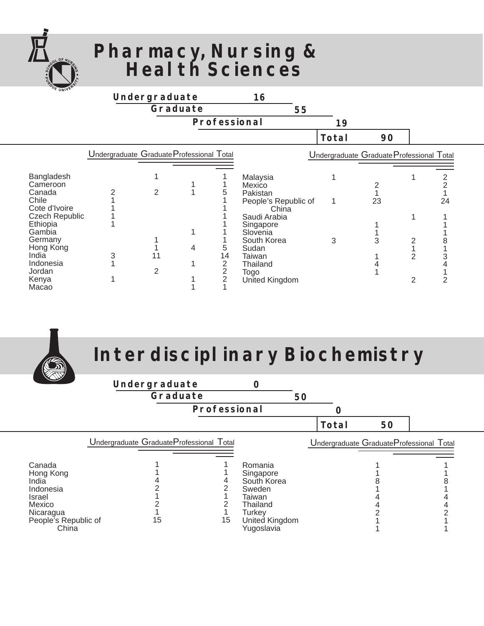

### **Pharmacy, Nursing & Health Sciences**

| <b>UNIVER</b>                                                       |                                           | Undergraduate  | Graduate | Professional                                | 16<br>55                                                        | 19    |                                           |                     |         |
|---------------------------------------------------------------------|-------------------------------------------|----------------|----------|---------------------------------------------|-----------------------------------------------------------------|-------|-------------------------------------------|---------------------|---------|
|                                                                     |                                           |                |          |                                             |                                                                 | Total | 90                                        |                     |         |
|                                                                     | Undergraduate Graduate Professional Total |                |          |                                             |                                                                 |       | Undergraduate Graduate Professional Total |                     |         |
| Bangladesh<br>Cameroon<br>Canada<br>Chile<br>Cote d'Ivoire          |                                           | $\overline{2}$ |          | 5                                           | Malaysia<br>Mexico<br>Pakistan<br>People's Republic of<br>China |       | 23                                        |                     | 2<br>24 |
| <b>Czech Republic</b><br>Ethiopia<br>Gambia<br>Germany<br>Hong Kong |                                           |                | 1<br>4   | 5                                           | Saudi Arabia<br>Singapore<br>Slovenia<br>South Korea<br>Sudan   | 3     | 3                                         |                     |         |
| India<br>Indonesia<br>Jordan<br>Kenya<br>Macao                      | 3                                         | 11<br>2        |          | 14<br>$\overline{c}$<br>$\overline{2}$<br>2 | Taiwan<br>Thailand<br>Togo<br>United Kingdom                    |       |                                           | $\overline{2}$<br>2 |         |



## **Interdisciplinary Biochemistry**

| $\sqrt{d}$                                                                                                  |                                                |    |                                                                                                                      |    |       |                                          |  |
|-------------------------------------------------------------------------------------------------------------|------------------------------------------------|----|----------------------------------------------------------------------------------------------------------------------|----|-------|------------------------------------------|--|
|                                                                                                             | Undergraduate<br>Graduate                      |    | O                                                                                                                    | 50 |       |                                          |  |
|                                                                                                             | Professional                                   |    |                                                                                                                      |    |       |                                          |  |
|                                                                                                             |                                                |    |                                                                                                                      |    | Total | 50                                       |  |
| Canada<br>Hong Kong<br>India<br>Indonesia<br>Israel<br>Mexico<br>Nicaragua<br>People's Republic of<br>China | Undergraduate GraduateProfessional Total<br>15 | 15 | Romania<br>Singapore<br>South Korea<br>Sweden<br>Taiwan<br>Thailand<br><b>Turkey</b><br>United Kingdom<br>Yugoslavia |    |       | Undergraduate GraduateProfessional Total |  |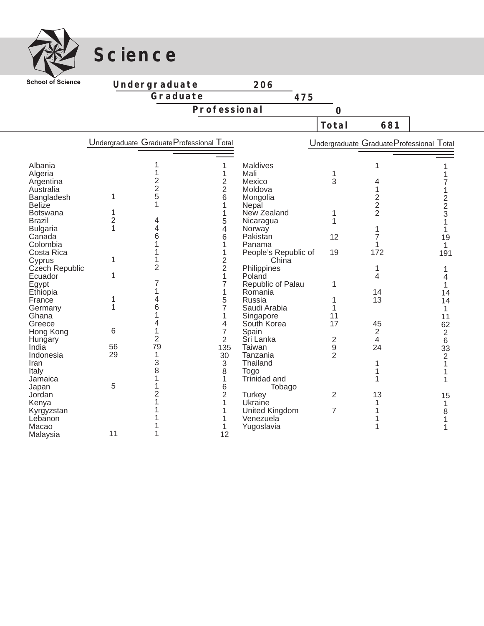

**Science**

| <b>School of Science</b>                                                                                                                          |                               | Undergraduate                             |                                                             | 206                                                                                                                    |                          |                                                           |                                                          |
|---------------------------------------------------------------------------------------------------------------------------------------------------|-------------------------------|-------------------------------------------|-------------------------------------------------------------|------------------------------------------------------------------------------------------------------------------------|--------------------------|-----------------------------------------------------------|----------------------------------------------------------|
|                                                                                                                                                   |                               | Graduate                                  |                                                             | 475                                                                                                                    |                          |                                                           |                                                          |
|                                                                                                                                                   |                               |                                           | Professional                                                |                                                                                                                        |                          |                                                           |                                                          |
|                                                                                                                                                   |                               |                                           |                                                             |                                                                                                                        | $\overline{O}$           |                                                           |                                                          |
|                                                                                                                                                   |                               |                                           |                                                             |                                                                                                                        | Total                    | 681                                                       |                                                          |
|                                                                                                                                                   |                               | Undergraduate Graduate Professional Total |                                                             |                                                                                                                        |                          | Undergraduate Graduate Professional Total                 |                                                          |
|                                                                                                                                                   |                               |                                           |                                                             |                                                                                                                        |                          |                                                           |                                                          |
| Albania<br>Algeria<br>Argentina<br>Australia<br>Bangladesh<br>Beliže<br><b>Botswana</b><br><b>Brazil</b><br><b>Bulgaria</b><br>Canada<br>Colombia | 1<br>1<br>$\overline{2}$<br>1 | 2<br>$\frac{2}{5}$<br>1<br>4<br>4<br>6    | 1<br>2<br>$\overline{2}$<br>6<br>1<br>1<br>5<br>4<br>6<br>1 | Maldives<br>Mali<br>Mexico<br>Moldova<br>Mongolia<br>Nepal<br>New Zealand<br>Nicaragua<br>Norway<br>Pakistan<br>Panama | 1<br>3<br>1<br>1<br>12   | 1<br>4<br>2<br>$\overline{2}$<br>$\overline{2}$<br>7<br>1 | $\frac{2}{3}$<br>1<br>19<br>1                            |
| Costa Rica<br>Cyprus<br>Czech Republic                                                                                                            | 1                             | 2                                         | 1<br>2<br>$\overline{2}$                                    | People's Republic of<br>China<br>Philippines                                                                           | 19                       | 172<br>1                                                  | 191                                                      |
| Ecuador<br>Egypt<br>Ethiopia<br>France                                                                                                            | 1<br>1                        | 7<br>4                                    | 1<br>7<br>1<br>5                                            | Poland<br>Republic of Palau<br>Romania<br>Russia                                                                       | 1<br>1                   | 4<br>14<br>13                                             | 4<br>1<br>14<br>14                                       |
| Germany<br>Ghana<br>Greece                                                                                                                        | 1                             | 6<br>4                                    | 7<br>1<br>4                                                 | Saudi Arabia<br>Singapore<br>South Korea                                                                               | 1<br>11<br>17            | 45                                                        | 1<br>11<br>62                                            |
| Hong Kong<br>Hungary<br>India<br>Indonesia<br>Iran<br>Italy<br>Jamaica                                                                            | 6<br>56<br>29                 | $\overline{2}$<br>79<br>1<br>3<br>8       | 7<br>$\overline{2}$<br>135<br>30<br>3<br>8<br>1             | Spain<br>Sri Lanka<br>Taiwan<br>Tanzania<br>Thailand<br><b>Togo</b><br>Trinidad and                                    | 2<br>9<br>$\overline{2}$ | $\overline{2}$<br>4<br>24<br>1                            | $\overline{\mathbf{c}}$<br>$\,6$<br>33<br>$\overline{2}$ |
| Japan<br>Jordan<br>Kenya<br>Kyrgyzstan<br>Lebanon<br>Macao<br>Malaysia                                                                            | 5<br>11                       | 2                                         | 6<br>$\overline{2}$<br>1<br>12                              | Tobago<br><b>Turkey</b><br>Ukraine<br><b>United Kingdom</b><br>Venezuela<br>Yugoslavia                                 | $\overline{2}$<br>7      | 13<br>1<br>1                                              | 15<br>1<br>8<br>1                                        |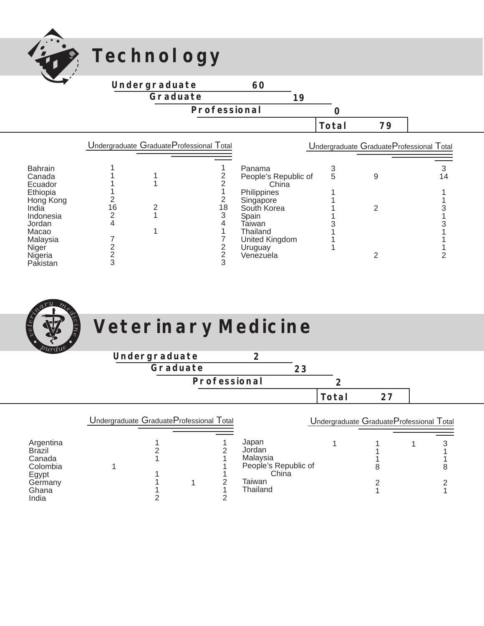

## **Technology**



|                       | Undergraduate Graduate Professional Total |  |    | Undergraduate Graduate Professional Total |   |  |    |  |
|-----------------------|-------------------------------------------|--|----|-------------------------------------------|---|--|----|--|
| <b>Bahrain</b>        |                                           |  |    | Panama                                    |   |  |    |  |
| Canada<br>Ecuador     |                                           |  |    | People's Republic of<br>China             | 5 |  | 14 |  |
| Ethiopia<br>Hong Kong |                                           |  |    | Philippines<br>Singapore                  |   |  |    |  |
| India<br>Indonesia    | 16                                        |  | 18 | South Korea<br>Spain                      |   |  |    |  |
| Jordan<br>Macao       |                                           |  |    | Taiwan<br>Thailand                        |   |  |    |  |
| Malaysia<br>Niger     |                                           |  |    | United Kingdom<br>Uruguay                 |   |  |    |  |
| Nigeria<br>Pakistan   |                                           |  |    | Venezuela                                 |   |  |    |  |



# **Veterinary Medicine**

| <i>purdul</i>                                                                          |                                           |               |              |  |                                                                                    |    |                  |                                          |   |
|----------------------------------------------------------------------------------------|-------------------------------------------|---------------|--------------|--|------------------------------------------------------------------------------------|----|------------------|------------------------------------------|---|
|                                                                                        |                                           | Undergraduate |              |  | $\mathbf{z}$                                                                       |    |                  |                                          |   |
|                                                                                        |                                           | Graduate      |              |  |                                                                                    | 23 |                  |                                          |   |
|                                                                                        |                                           |               | Professional |  |                                                                                    |    | $\boldsymbol{2}$ |                                          |   |
|                                                                                        |                                           |               |              |  |                                                                                    |    | Total            | 27                                       |   |
| Argentina<br><b>Brazil</b><br>Canada<br>Colombia<br>Egypt<br>Germany<br>Ghana<br>India | Undergraduate Graduate Professional Total |               |              |  | Japan<br>Jordan<br>Malaysia<br>People's Republic of<br>China<br>Taiwan<br>Thailand |    |                  | Undergraduate GraduateProfessional Total | 8 |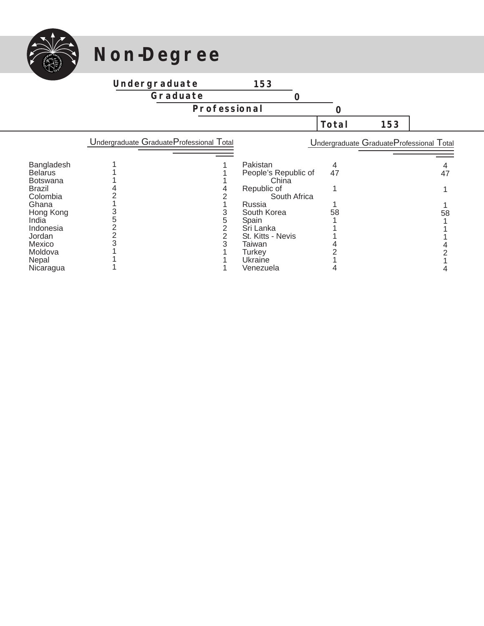

## **Non-Degree**

#### **Undergraduate**

**Graduate**

**Professional**

**Total** 

|                 | Undergraduate Graduate Professional Total |                      |    | Undergraduate GraduateProfessional Total |
|-----------------|-------------------------------------------|----------------------|----|------------------------------------------|
|                 |                                           |                      |    |                                          |
| Bangladesh      |                                           | Pakistan             |    |                                          |
| <b>Belarus</b>  |                                           | People's Republic of | 47 | 47                                       |
| <b>Botswana</b> |                                           | China                |    |                                          |
| Brazil          |                                           | Republic of          |    |                                          |
| Colombia        |                                           | South Africa         |    |                                          |
| Ghana           |                                           | Russia               |    |                                          |
| Hong Kong       |                                           | South Korea          | 58 | 58                                       |
| India           |                                           | Spain                |    |                                          |
| Indonesia       |                                           | Sri Lanka            |    |                                          |
| Jordan          |                                           | St. Kitts - Nevis    |    |                                          |
| Mexico          |                                           | Taiwan               |    |                                          |
| Moldova         |                                           | Turkey               |    |                                          |
| Nepal           |                                           | Ukraine              |    |                                          |
| Nicaragua       |                                           | Venezuela            |    |                                          |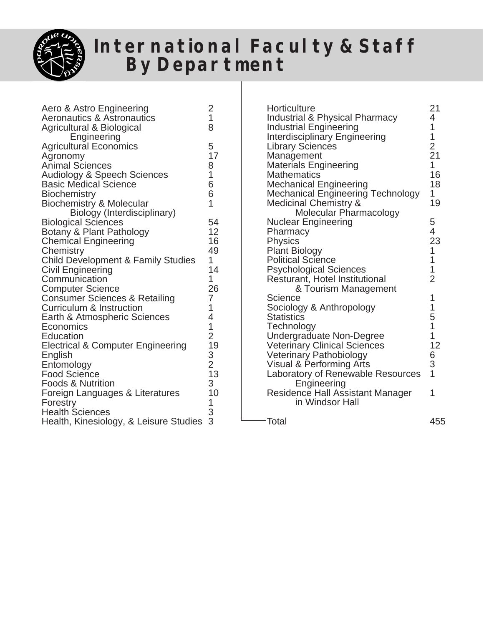

### **International Faculty & Staff By Department**

| Aero & Astro Engineering<br>Aeronautics & Astronautics<br>Agricultural & Biological<br>Engineering                                                                                                                                                                                                                                                                                         | $\overline{c}$<br>$\overline{1}$<br>8                                            |
|--------------------------------------------------------------------------------------------------------------------------------------------------------------------------------------------------------------------------------------------------------------------------------------------------------------------------------------------------------------------------------------------|----------------------------------------------------------------------------------|
| <b>Agricultural Economics</b><br>Agronomy<br><b>Animal Sciences</b><br><b>Audiology &amp; Speech Sciences</b><br><b>Basic Medical Science</b><br><b>Biochemistry</b><br>Biochemistry & Molecular                                                                                                                                                                                           | 5<br>17<br>8<br>$\overline{1}$<br>6<br>6<br>$\overline{1}$                       |
| Biology (Interdisciplinary)<br><b>Biological Sciences</b><br>Botany & Plant Pathology<br><b>Chemical Engineering</b><br>Chemistry<br><b>Child Development &amp; Family Studies</b><br><b>Civil Engineering</b><br>Communication<br><b>Computer Science</b><br><b>Consumer Sciences &amp; Retailing</b><br><b>Curriculum &amp; Instruction</b><br>Earth & Atmospheric Sciences<br>Economics | 54<br>12<br>16<br>49<br>1<br>14<br>1<br>26<br>7<br>1<br>4<br>$\overline{1}$      |
| Education<br><b>Electrical &amp; Computer Engineering</b><br>English<br>Entomology<br><b>Food Science</b><br><b>Foods &amp; Nutrition</b><br>Foreign Languages & Literatures<br>Forestry<br><b>Health Sciences</b><br>Health, Kinesiology, & Leisure Studies                                                                                                                               | $\begin{array}{c} 2 \\ 19 \\ 3 \\ 2 \\ 13 \end{array}$<br>3<br>10<br>1<br>3<br>3 |

| Horticulture<br><b>Industrial &amp; Physical Pharmacy</b><br><b>Industrial Engineering</b><br><b>Interdisciplinary Engineering</b><br><b>Library Sciences</b><br>Management<br><b>Materials Engineering</b><br><b>Mathematics</b><br><b>Mechanical Engineering</b><br><b>Mechanical Engineering Technology</b><br>Medicinal Chemistry &<br>Molecular Pharmacology<br><b>Nuclear Engineering</b><br>Pharmacy<br>Physics<br><b>Plant Biology</b><br><b>Political Science</b><br><b>Psychological Sciences</b><br>Resturant, Hotel Institutional<br>& Tourism Management<br>Science<br>Sociology & Anthropology<br><b>Statistics</b><br>Technology<br><b>Undergraduate Non-Degree</b><br><b>Veterinary Clinical Sciences</b><br><b>Veterinary Pathobiology</b><br><b>Visual &amp; Performing Arts</b><br>Laboratory of Renewable Resources<br>Engineering<br><b>Residence Hall Assistant Manager</b><br>in Windsor Hall | 21<br>4<br>1<br>$\frac{1}{2}$<br>$\overline{1}$<br>16<br>18<br>1<br>19<br>5<br>$\frac{4}{23}$<br>$\mathbf{1}$<br>$\begin{array}{c} 1 \\ 1 \end{array}$<br>$\overline{2}$<br>1<br>1<br>5<br>1<br>$\overline{1}$<br>12<br>6<br>3<br>1<br>1 |
|----------------------------------------------------------------------------------------------------------------------------------------------------------------------------------------------------------------------------------------------------------------------------------------------------------------------------------------------------------------------------------------------------------------------------------------------------------------------------------------------------------------------------------------------------------------------------------------------------------------------------------------------------------------------------------------------------------------------------------------------------------------------------------------------------------------------------------------------------------------------------------------------------------------------|------------------------------------------------------------------------------------------------------------------------------------------------------------------------------------------------------------------------------------------|
| −Total                                                                                                                                                                                                                                                                                                                                                                                                                                                                                                                                                                                                                                                                                                                                                                                                                                                                                                               | 455                                                                                                                                                                                                                                      |